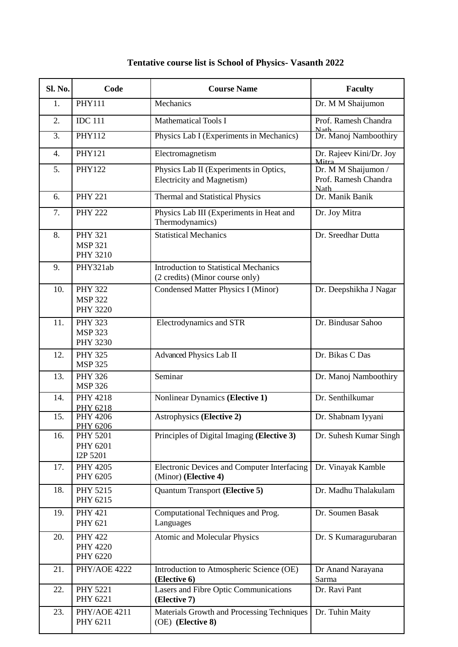| Sl. No.          | Code                                                | <b>Course Name</b>                                                              | <b>Faculty</b>                                             |
|------------------|-----------------------------------------------------|---------------------------------------------------------------------------------|------------------------------------------------------------|
| 1.               | <b>PHY111</b>                                       | Mechanics                                                                       | Dr. M M Shaijumon                                          |
| 2.               | <b>IDC 111</b>                                      | <b>Mathematical Tools I</b>                                                     | Prof. Ramesh Chandra                                       |
| $\overline{3}$ . | PHY112                                              | Physics Lab I (Experiments in Mechanics)                                        | <b>Nath</b><br>Dr. Manoj Namboothiry                       |
| $\overline{4}$ . | <b>PHY121</b>                                       | Electromagnetism                                                                | Dr. Rajeev Kini/Dr. Joy<br>Mitra                           |
| 5.               | <b>PHY122</b>                                       | Physics Lab II (Experiments in Optics,<br>Electricity and Magnetism)            | Dr. M M Shaijumon /<br>Prof. Ramesh Chandra<br><b>Nath</b> |
| 6.               | <b>PHY 221</b>                                      | <b>Thermal and Statistical Physics</b>                                          | Dr. Manik Banik                                            |
| 7.               | <b>PHY 222</b>                                      | Physics Lab III (Experiments in Heat and<br>Thermodynamics)                     | Dr. Joy Mitra                                              |
| 8.               | <b>PHY 321</b><br><b>MSP 321</b><br><b>PHY 3210</b> | <b>Statistical Mechanics</b>                                                    | Dr. Sreedhar Dutta                                         |
| 9.               | PHY321ab                                            | <b>Introduction to Statistical Mechanics</b><br>(2 credits) (Minor course only) |                                                            |
| 10.              | <b>PHY 322</b><br><b>MSP 322</b><br><b>PHY 3220</b> | <b>Condensed Matter Physics I (Minor)</b>                                       | Dr. Deepshikha J Nagar                                     |
| 11.              | <b>PHY 323</b><br><b>MSP 323</b><br><b>PHY 3230</b> | Electrodynamics and STR                                                         | Dr. Bindusar Sahoo                                         |
| 12.              | <b>PHY 325</b><br><b>MSP 325</b>                    | Advanced Physics Lab II                                                         | Dr. Bikas C Das                                            |
| 13.              | <b>PHY 326</b><br><b>MSP 326</b>                    | Seminar                                                                         | Dr. Manoj Namboothiry                                      |
| 14.              | <b>PHY 4218</b><br>PHY 6218                         | <b>Nonlinear Dynamics (Elective 1)</b>                                          | Dr. Senthilkumar                                           |
| 15.              | PHY 4206<br>PHY 6206                                | <b>Astrophysics (Elective 2)</b>                                                | Dr. Shabnam Iyyani                                         |
| 16.              | <b>PHY 5201</b><br>PHY 6201<br>I2P 5201             | Principles of Digital Imaging (Elective 3)                                      | Dr. Suhesh Kumar Singh                                     |
| 17.              | PHY 4205<br>PHY 6205                                | Electronic Devices and Computer Interfacing<br>(Minor) (Elective 4)             | Dr. Vinayak Kamble                                         |
| 18.              | PHY 5215<br>PHY 6215                                | <b>Quantum Transport (Elective 5)</b>                                           | Dr. Madhu Thalakulam                                       |
| 19.              | <b>PHY 421</b><br>PHY 621                           | Computational Techniques and Prog.<br>Languages                                 | Dr. Soumen Basak                                           |
| 20.              | <b>PHY 422</b><br><b>PHY 4220</b><br>PHY 6220       | Atomic and Molecular Physics                                                    | Dr. S Kumaragurubaran                                      |
| 21.              | PHY/AOE 4222                                        | Introduction to Atmospheric Science (OE)<br>(Elective 6)                        | Dr Anand Narayana<br>Sarma                                 |
| 22.              | <b>PHY 5221</b><br>PHY 6221                         | Lasers and Fibre Optic Communications<br>(Elective 7)                           | Dr. Ravi Pant                                              |
| 23.              | PHY/AOE 4211<br>PHY 6211                            | Materials Growth and Processing Techniques<br>(OE) (Elective 8)                 | Dr. Tuhin Maity                                            |

## **Tentative course list is School of Physics- Vasanth 2022**